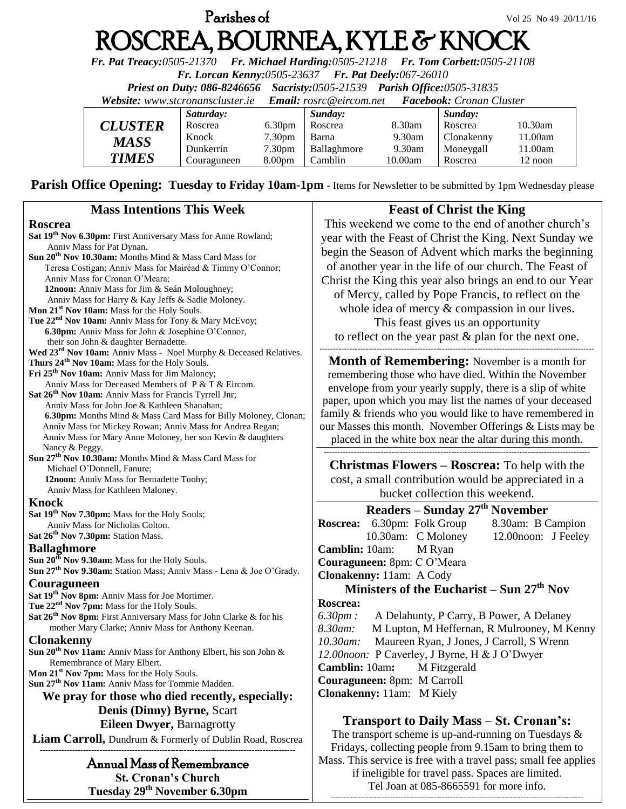# **Parishes of**  $Vol 25 No 49 20/11/16$ ROSCREA, BOURNEA, KYLE & KNOCK

*Fr. Pat Treacy:0505-21370 Fr. Michael Harding:0505-21218 Fr. Tom Corbett:0505-21108* 

*Fr. Lorcan Kenny:0505-23637 Fr. Pat Deely:067-26010* 

*Priest on Duty: 086-8246656 Sacristy:0505-21539 Parish Office:0505-31835* 

*Website: [www.stcronanscluster.ie](http://www.stcronanscluster.ie/) Email: [rosrc@eircom.net](mailto:rosrc@eircom.net) Facebook: Cronan Cluster* 

|                | Saturday:   |                    | Sunday:     |         | Sunday:    |            |
|----------------|-------------|--------------------|-------------|---------|------------|------------|
| <b>CLUSTER</b> | Roscrea     | 6.30 <sub>pm</sub> | Roscrea     | 8.30am  | Roscrea    | $10.30$ am |
| MASS           | Knock       | 7.30 <sub>pm</sub> | Barna       | 9.30am  | Clonakenny | 11.00am    |
|                | Dunkerrin   | 7.30 <sub>pm</sub> | Ballaghmore | 9.30am  | Moneygall  | 11.00am    |
| <b>TIMES</b>   | Couraguneen | 8.00 <sub>pm</sub> | Camblin     | 10.00am | Roscrea    | 12 noon    |

**Parish Office Opening: Tuesday to Friday 10am-1pm** - Items for Newsletter to be submitted by 1pm Wednesday please

| <b>Mass Intentions This Week</b>                                                                                             | <b>Feast of Christ the King</b>                                  |  |  |  |
|------------------------------------------------------------------------------------------------------------------------------|------------------------------------------------------------------|--|--|--|
| <b>Roscrea</b>                                                                                                               | This weekend we come to the end of another church's              |  |  |  |
| Sat 19 <sup>th</sup> Nov 6.30pm: First Anniversary Mass for Anne Rowland;                                                    | year with the Feast of Christ the King. Next Sunday we           |  |  |  |
| Anniv Mass for Pat Dynan.                                                                                                    | begin the Season of Advent which marks the beginning             |  |  |  |
| Sun 20 <sup>th</sup> Nov 10.30am: Months Mind & Mass Card Mass for                                                           |                                                                  |  |  |  |
| Teresa Costigan; Anniv Mass for Mairéad & Timmy O'Connor;                                                                    | of another year in the life of our church. The Feast of          |  |  |  |
| Anniv Mass for Cronan O'Meara;                                                                                               | Christ the King this year also brings an end to our Year         |  |  |  |
| 12noon: Anniv Mass for Jim & Seán Moloughney;                                                                                | of Mercy, called by Pope Francis, to reflect on the              |  |  |  |
| Anniv Mass for Harry & Kay Jeffs & Sadie Moloney.<br>Mon 21 <sup>st</sup> Nov 10am: Mass for the Holy Souls.                 | whole idea of mercy & compassion in our lives.                   |  |  |  |
| Tue 22 <sup>nd</sup> Nov 10am: Anniv Mass for Tony & Mary McEvoy;                                                            | This feast gives us an opportunity                               |  |  |  |
| 6.30pm: Anniv Mass for John & Josephine O'Connor,                                                                            |                                                                  |  |  |  |
| their son John & daughter Bernadette.                                                                                        | to reflect on the year past $\&$ plan for the next one.          |  |  |  |
| Wed 23 <sup>rd</sup> Nov 10am: Anniv Mass - Noel Murphy & Deceased Relatives.                                                |                                                                  |  |  |  |
| Thurs 24 <sup>th</sup> Nov 10am: Mass for the Holy Souls.                                                                    | <b>Month of Remembering:</b> November is a month for             |  |  |  |
| Fri 25 <sup>th</sup> Nov 10am: Anniv Mass for Jim Maloney;                                                                   | remembering those who have died. Within the November             |  |  |  |
| Anniv Mass for Deceased Members of P & T & Eircom.                                                                           | envelope from your yearly supply, there is a slip of white       |  |  |  |
| Sat 26 <sup>th</sup> Nov 10am: Anniv Mass for Francis Tyrrell Jnr;                                                           | paper, upon which you may list the names of your deceased        |  |  |  |
| Anniv Mass for John Joe & Kathleen Shanahan;                                                                                 | family & friends who you would like to have remembered in        |  |  |  |
| 6.30pm: Months Mind & Mass Card Mass for Billy Moloney, Clonan;<br>Anniv Mass for Mickey Rowan; Anniv Mass for Andrea Regan; | our Masses this month. November Offerings & Lists may be         |  |  |  |
| Anniv Mass for Mary Anne Moloney, her son Kevin & daughters                                                                  |                                                                  |  |  |  |
| Nancy & Peggy.                                                                                                               | placed in the white box near the altar during this month.        |  |  |  |
| Sun 27 <sup>th</sup> Nov 10.30am: Months Mind & Mass Card Mass for                                                           |                                                                  |  |  |  |
| Michael O'Donnell, Fanure;                                                                                                   | <b>Christmas Flowers – Roscrea:</b> To help with the             |  |  |  |
| 12noon: Anniv Mass for Bernadette Tuohy;                                                                                     | cost, a small contribution would be appreciated in a             |  |  |  |
| Anniv Mass for Kathleen Maloney.                                                                                             | bucket collection this weekend.                                  |  |  |  |
| <b>Knock</b>                                                                                                                 |                                                                  |  |  |  |
| Sat 19 <sup>th</sup> Nov 7.30pm: Mass for the Holy Souls;                                                                    | Readers – Sunday $27th$ November                                 |  |  |  |
| Anniv Mass for Nicholas Colton.                                                                                              | 8.30am: B Campion<br>Roscrea: 6.30pm: Folk Group                 |  |  |  |
| Sat 26 <sup>th</sup> Nov 7.30pm: Station Mass.                                                                               | 10.30am: C Moloney<br>12.00 noon: J Feeley                       |  |  |  |
| <b>Ballaghmore</b>                                                                                                           | Camblin: 10am:<br>M Ryan                                         |  |  |  |
| Sun 20 <sup>th</sup> Nov 9.30am: Mass for the Holy Souls.                                                                    | Couraguneen: 8pm: CO'Meara                                       |  |  |  |
| Sun 27 <sup>th</sup> Nov 9.30am: Station Mass; Anniv Mass - Lena & Joe O'Grady.                                              | Clonakenny: 11am: A Cody                                         |  |  |  |
| Couraguneen                                                                                                                  | Ministers of the Eucharist – Sun $27th$ Nov                      |  |  |  |
| Sat 19th Nov 8pm: Anniv Mass for Joe Mortimer.                                                                               | Roscrea:                                                         |  |  |  |
| Tue 22 <sup>nd</sup> Nov 7pm: Mass for the Holy Souls.                                                                       |                                                                  |  |  |  |
| Sat 26 <sup>th</sup> Nov 8pm: First Anniversary Mass for John Clarke & for his                                               | $6.30pm$ :<br>A Delahunty, P Carry, B Power, A Delaney           |  |  |  |
| mother Mary Clarke; Anniv Mass for Anthony Keenan.                                                                           | 8.30am:<br>M Lupton, M Heffernan, R Mulrooney, M Kenny           |  |  |  |
| <b>Clonakenny</b>                                                                                                            | 10.30am:<br>Maureen Ryan, J Jones, J Carroll, S Wrenn            |  |  |  |
| Sun 20 <sup>th</sup> Nov 11am: Anniv Mass for Anthony Elbert, his son John &                                                 | 12.00noon: P Caverley, J Byrne, H & J O'Dwyer                    |  |  |  |
| Remembrance of Mary Elbert.<br>Mon 21 <sup>st</sup> Nov 7pm: Mass for the Holy Souls.                                        | Camblin: 10am:<br>M Fitzgerald                                   |  |  |  |
| Sun 27 <sup>th</sup> Nov 11am: Anniv Mass for Tommie Madden.                                                                 | Couraguneen: 8pm: M Carroll                                      |  |  |  |
| We pray for those who died recently, especially:                                                                             | Clonakenny: 11am: M Kiely                                        |  |  |  |
|                                                                                                                              |                                                                  |  |  |  |
| <b>Denis (Dinny) Byrne, Scart</b>                                                                                            | <b>Transport to Daily Mass – St. Cronan's:</b>                   |  |  |  |
| <b>Eileen Dwyer, Barnagrotty</b>                                                                                             |                                                                  |  |  |  |
| Liam Carroll, Dundrum & Formerly of Dublin Road, Roscrea                                                                     | The transport scheme is up-and-running on Tuesdays $\&$          |  |  |  |
|                                                                                                                              | Fridays, collecting people from 9.15am to bring them to          |  |  |  |
| <b>Annual Mass of Remembrance</b>                                                                                            | Mass. This service is free with a travel pass; small fee applies |  |  |  |
| <b>St. Cronan's Church</b>                                                                                                   | if ineligible for travel pass. Spaces are limited.               |  |  |  |
| Tuesday 29 <sup>th</sup> November 6.30pm                                                                                     | Tel Joan at 085-8665591 for more info.                           |  |  |  |
|                                                                                                                              |                                                                  |  |  |  |

*---------------------------------------------------------------------------------------------*